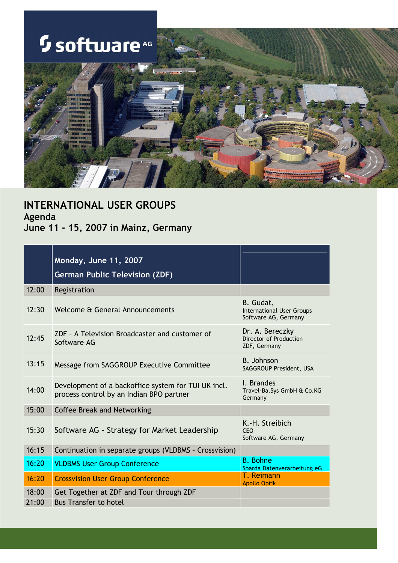### **Software** AG

 $\overline{\phantom{a}}$ 



### INTERNATIONAL USER GROUPS Agenda June 11 - 15, 2007 in Mainz, Germany

|       | Monday, June 11, 2007<br><b>German Public Television (ZDF)</b>                                  |                                                                       |
|-------|-------------------------------------------------------------------------------------------------|-----------------------------------------------------------------------|
| 12:00 | Registration                                                                                    |                                                                       |
| 12:30 | Welcome & General Announcements                                                                 | B. Gudat,<br><b>International User Groups</b><br>Software AG, Germany |
| 12:45 | ZDF - A Television Broadcaster and customer of<br>Software AG                                   | Dr. A. Bereczky<br><b>Director of Production</b><br>ZDF, Germany      |
| 13:15 | Message from SAGGROUP Executive Committee                                                       | <b>B.</b> Johnson<br>SAGGROUP President, USA                          |
| 14:00 | Development of a backoffice system for TUI UK incl.<br>process control by an Indian BPO partner | I. Brandes<br>Travel-Ba.Sys GmbH & Co.KG<br>Germany                   |
| 15:00 | <b>Coffee Break and Networking</b>                                                              |                                                                       |
| 15:30 | Software AG - Strategy for Market Leadership                                                    | K.-H. Streibich<br>CEO<br>Software AG, Germany                        |
| 16:15 | Continuation in separate groups (VLDBMS - Crossvision)                                          |                                                                       |
| 16:20 | <b>VLDBMS User Group Conference</b>                                                             | <b>B.</b> Bohne<br>Sparda Datenverarbeitung eG                        |
| 16:20 | <b>Crossvision User Group Conference</b>                                                        | T. Reimann<br><b>Apollo Optik</b>                                     |
| 18:00 | Get Together at ZDF and Tour through ZDF                                                        |                                                                       |
| 21:00 | <b>Bus Transfer to hotel</b>                                                                    |                                                                       |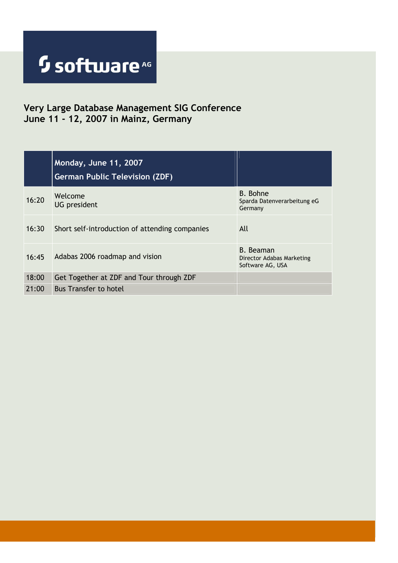### Very Large Database Management SIG Conference June 11 - 12, 2007 in Mainz, Germany

|       | Monday, June 11, 2007<br><b>German Public Television (ZDF)</b> |                                                                   |
|-------|----------------------------------------------------------------|-------------------------------------------------------------------|
| 16:20 | Welcome<br><b>UG</b> president                                 | <b>B.</b> Bohne<br>Sparda Datenverarbeitung eG<br>Germany         |
| 16:30 | Short self-introduction of attending companies                 | All                                                               |
| 16:45 | Adabas 2006 roadmap and vision                                 | <b>B.</b> Beaman<br>Director Adabas Marketing<br>Software AG, USA |
| 18:00 | Get Together at ZDF and Tour through ZDF                       |                                                                   |
| 21:00 | <b>Bus Transfer to hotel</b>                                   |                                                                   |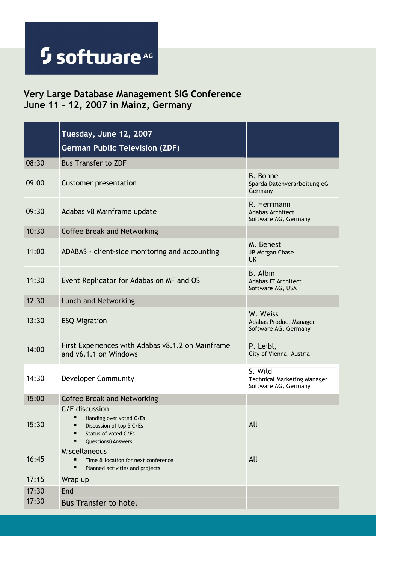#### Very Large Database Management SIG Conference June 11 - 12, 2007 in Mainz, Germany

|       | Tuesday, June 12, 2007<br><b>German Public Television (ZDF)</b>                                                                              |                                                                       |
|-------|----------------------------------------------------------------------------------------------------------------------------------------------|-----------------------------------------------------------------------|
| 08:30 | <b>Bus Transfer to ZDF</b>                                                                                                                   |                                                                       |
| 09:00 | <b>Customer presentation</b>                                                                                                                 | <b>B.</b> Bohne<br>Sparda Datenverarbeitung eG<br>Germany             |
| 09:30 | Adabas v8 Mainframe update                                                                                                                   | R. Herrmann<br><b>Adabas Architect</b><br>Software AG, Germany        |
| 10:30 | <b>Coffee Break and Networking</b>                                                                                                           |                                                                       |
| 11:00 | ADABAS - client-side monitoring and accounting                                                                                               | M. Benest<br>JP Morgan Chase<br>UK.                                   |
| 11:30 | Event Replicator for Adabas on MF and OS                                                                                                     | <b>B.</b> Albin<br><b>Adabas IT Architect</b><br>Software AG, USA     |
| 12:30 | Lunch and Networking                                                                                                                         |                                                                       |
| 13:30 | <b>ESQ Migration</b>                                                                                                                         | W. Weiss<br>Adabas Product Manager<br>Software AG, Germany            |
| 14:00 | First Experiences with Adabas v8.1.2 on Mainframe<br>and v6.1.1 on Windows                                                                   | P. Leibl,<br>City of Vienna, Austria                                  |
| 14:30 | <b>Developer Community</b>                                                                                                                   | S. Wild<br><b>Technical Marketing Manager</b><br>Software AG, Germany |
| 15:00 | <b>Coffee Break and Networking</b>                                                                                                           |                                                                       |
| 15:30 | C/E discussion<br>■<br>Handing over voted C/Es<br>Ξ<br>Discussion of top 5 C/Es<br>Status of voted C/Es<br>٠<br><b>Questions&amp;Answers</b> | All                                                                   |
| 16:45 | Miscellaneous<br>Time & location for next conference<br>Ξ<br>Planned activities and projects                                                 | All                                                                   |
| 17:15 | Wrap up                                                                                                                                      |                                                                       |
| 17:30 | End                                                                                                                                          |                                                                       |
| 17:30 | <b>Bus Transfer to hotel</b>                                                                                                                 |                                                                       |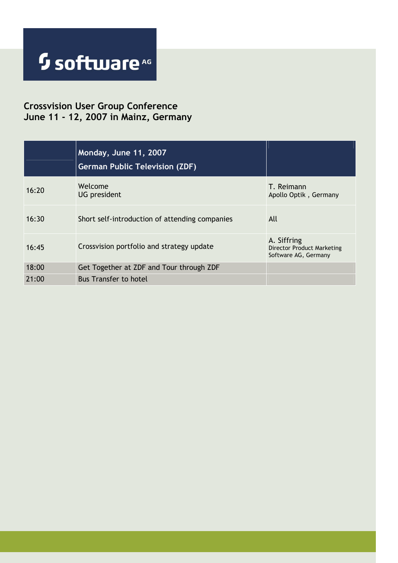#### Crossvision User Group Conference June 11 - 12, 2007 in Mainz, Germany

|       | Monday, June 11, 2007<br><b>German Public Television (ZDF)</b> |                                                                          |
|-------|----------------------------------------------------------------|--------------------------------------------------------------------------|
| 16:20 | Welcome<br><b>UG</b> president                                 | T. Reimann<br>Apollo Optik, Germany                                      |
| 16:30 | Short self-introduction of attending companies                 | All                                                                      |
| 16:45 | Crossvision portfolio and strategy update                      | A. Siffring<br><b>Director Product Marketing</b><br>Software AG, Germany |
| 18:00 | Get Together at ZDF and Tour through ZDF                       |                                                                          |
| 21:00 | <b>Bus Transfer to hotel</b>                                   |                                                                          |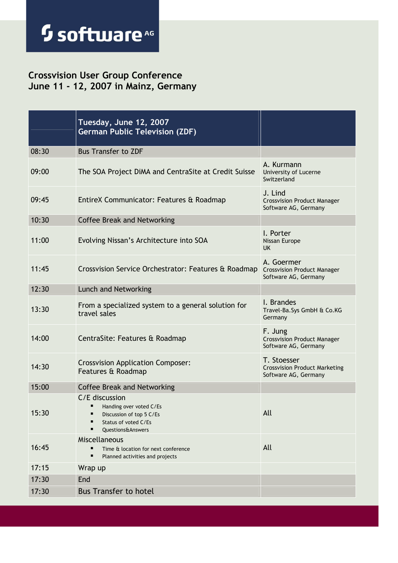#### Crossvision User Group Conference June 11 - 12, 2007 in Mainz, Germany

|       | Tuesday, June 12, 2007<br><b>German Public Television (ZDF)</b>                                                                         |                                                                             |
|-------|-----------------------------------------------------------------------------------------------------------------------------------------|-----------------------------------------------------------------------------|
| 08:30 | <b>Bus Transfer to ZDF</b>                                                                                                              |                                                                             |
| 09:00 | The SOA Project DiMA and CentraSite at Credit Suisse                                                                                    | A. Kurmann<br>University of Lucerne<br>Switzerland                          |
| 09:45 | EntireX Communicator: Features & Roadmap                                                                                                | J. Lind<br><b>Crossvision Product Manager</b><br>Software AG, Germany       |
| 10:30 | <b>Coffee Break and Networking</b>                                                                                                      |                                                                             |
| 11:00 | Evolving Nissan's Architecture into SOA                                                                                                 | I. Porter<br>Nissan Europe<br>UK.                                           |
| 11:45 | Crossvision Service Orchestrator: Features & Roadmap                                                                                    | A. Goermer<br><b>Crossvision Product Manager</b><br>Software AG, Germany    |
| 12:30 | Lunch and Networking                                                                                                                    |                                                                             |
| 13:30 | From a specialized system to a general solution for<br>travel sales                                                                     | I. Brandes<br>Travel-Ba. Sys GmbH & Co. KG<br>Germany                       |
| 14:00 | CentraSite: Features & Roadmap                                                                                                          | F. Jung<br><b>Crossvision Product Manager</b><br>Software AG, Germany       |
| 14:30 | <b>Crossvision Application Composer:</b><br>Features & Roadmap                                                                          | T. Stoesser<br><b>Crossvision Product Marketing</b><br>Software AG, Germany |
| 15:00 | <b>Coffee Break and Networking</b>                                                                                                      |                                                                             |
| 15:30 | C/E discussion<br>п<br>Handing over voted C/Es<br>Discussion of top 5 C/Es<br>Status of voted C/Es<br>п<br><b>Ouestions&amp;Answers</b> | All                                                                         |
| 16:45 | Miscellaneous<br>Time & location for next conference<br>Planned activities and projects                                                 | All                                                                         |
| 17:15 | Wrap up                                                                                                                                 |                                                                             |
| 17:30 | End                                                                                                                                     |                                                                             |
| 17:30 | <b>Bus Transfer to hotel</b>                                                                                                            |                                                                             |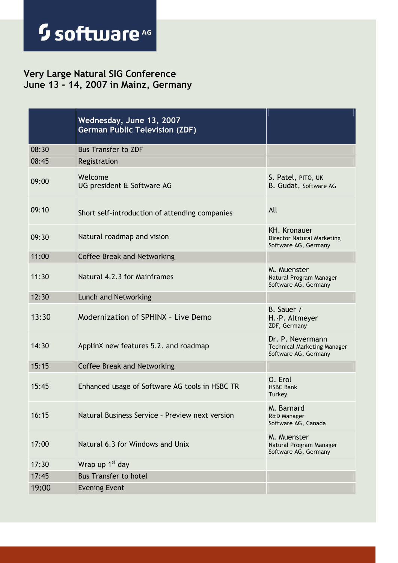#### Very Large Natural SIG Conference June 13 - 14, 2007 in Mainz, Germany

|       | Wednesday, June 13, 2007<br><b>German Public Television (ZDF)</b> |                                                                                  |
|-------|-------------------------------------------------------------------|----------------------------------------------------------------------------------|
| 08:30 | <b>Bus Transfer to ZDF</b>                                        |                                                                                  |
| 08:45 | Registration                                                      |                                                                                  |
| 09:00 | Welcome<br>UG president & Software AG                             | S. Patel, PITO, UK<br>B. Gudat, Software AG                                      |
| 09:10 | Short self-introduction of attending companies                    | All                                                                              |
| 09:30 | Natural roadmap and vision                                        | <b>KH. Kronauer</b><br><b>Director Natural Marketing</b><br>Software AG, Germany |
| 11:00 | <b>Coffee Break and Networking</b>                                |                                                                                  |
| 11:30 | Natural 4.2.3 for Mainframes                                      | M. Muenster<br>Natural Program Manager<br>Software AG, Germany                   |
| 12:30 | Lunch and Networking                                              |                                                                                  |
| 13:30 | Modernization of SPHINX - Live Demo                               | B. Sauer /<br>H.-P. Altmeyer<br>ZDF, Germany                                     |
| 14:30 | ApplinX new features 5.2. and roadmap                             | Dr. P. Nevermann<br><b>Technical Marketing Manager</b><br>Software AG, Germany   |
| 15:15 | <b>Coffee Break and Networking</b>                                |                                                                                  |
| 15:45 | Enhanced usage of Software AG tools in HSBC TR                    | O. Erol<br><b>HSBC Bank</b><br>Turkey                                            |
| 16:15 | Natural Business Service - Preview next version                   | M. Barnard<br><b>R&amp;D Manager</b><br>Software AG, Canada                      |
| 17:00 | Natural 6.3 for Windows and Unix                                  | M. Muenster<br>Natural Program Manager<br>Software AG, Germany                   |
| 17:30 | Wrap up 1 <sup>st</sup> day                                       |                                                                                  |
| 17:45 | <b>Bus Transfer to hotel</b>                                      |                                                                                  |
| 19:00 | <b>Evening Event</b>                                              |                                                                                  |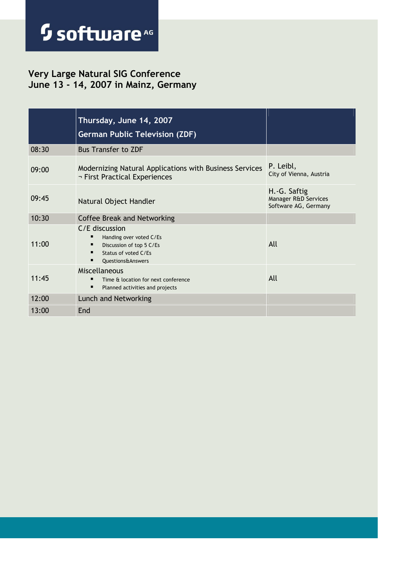#### Very Large Natural SIG Conference June 13 - 14, 2007 in Mainz, Germany

|       | Thursday, June 14, 2007<br><b>German Public Television (ZDF)</b>                                                        |                                                              |
|-------|-------------------------------------------------------------------------------------------------------------------------|--------------------------------------------------------------|
| 08:30 | <b>Bus Transfer to ZDF</b>                                                                                              |                                                              |
| 09:00 | Modernizing Natural Applications with Business Services<br>¬ First Practical Experiences                                | P. Leibl,<br>City of Vienna, Austria                         |
| 09:45 | Natural Object Handler                                                                                                  | H.-G. Saftig<br>Manager R&D Services<br>Software AG, Germany |
| 10:30 | <b>Coffee Break and Networking</b>                                                                                      |                                                              |
| 11:00 | C/E discussion<br>Handing over voted C/Es<br>Discussion of top 5 C/Es<br>Status of voted C/Fs<br>п<br>Questions&Answers | All                                                          |
| 11:45 | <b>Miscellaneous</b><br>Time & location for next conference<br>■<br>$\blacksquare$<br>Planned activities and projects   | All                                                          |
| 12:00 | Lunch and Networking                                                                                                    |                                                              |
| 13:00 | End                                                                                                                     |                                                              |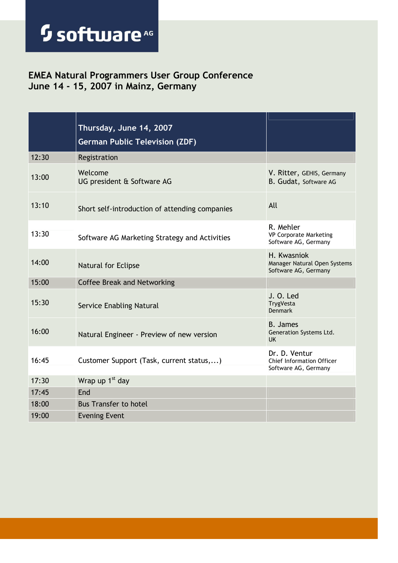#### EMEA Natural Programmers User Group Conference June 14 - 15, 2007 in Mainz, Germany

|       | Thursday, June 14, 2007<br><b>German Public Television (ZDF)</b> |                                                                     |
|-------|------------------------------------------------------------------|---------------------------------------------------------------------|
| 12:30 | Registration                                                     |                                                                     |
| 13:00 | Welcome<br>UG president & Software AG                            | V. Ritter, GEHIS, Germany<br>B. Gudat, Software AG                  |
| 13:10 | Short self-introduction of attending companies                   | All                                                                 |
| 13:30 | Software AG Marketing Strategy and Activities                    | R. Mehler<br><b>VP Corporate Marketing</b><br>Software AG, Germany  |
| 14:00 | Natural for Eclipse                                              | H. Kwasniok<br>Manager Natural Open Systems<br>Software AG, Germany |
| 15:00 | <b>Coffee Break and Networking</b>                               |                                                                     |
| 15:30 | <b>Service Enabling Natural</b>                                  | J. O. Led<br>TrygVesta<br><b>Denmark</b>                            |
| 16:00 | Natural Engineer - Preview of new version                        | <b>B.</b> James<br>Generation Systems Ltd.<br><b>UK</b>             |
| 16:45 | Customer Support (Task, current status,)                         | Dr. D. Ventur<br>Chief Information Officer<br>Software AG, Germany  |
| 17:30 | Wrap up 1 <sup>st</sup> day                                      |                                                                     |
| 17:45 | End                                                              |                                                                     |
| 18:00 | <b>Bus Transfer to hotel</b>                                     |                                                                     |
| 19:00 | <b>Evening Event</b>                                             |                                                                     |